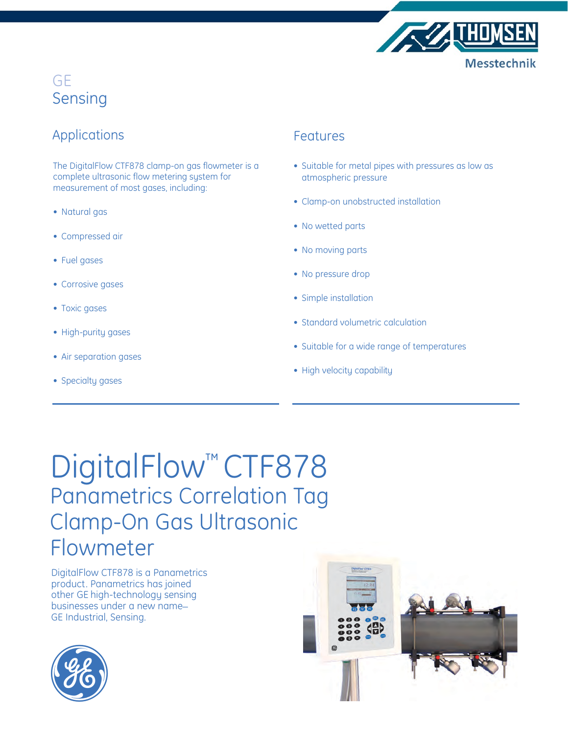

## Applications

The DigitalFlow CTF878 clamp-on gas flowmeter is a complete ultrasonic flow metering system for measurement of most gases, including:

- Natural gas
- Compressed air
- Fuel gases
- Corrosive gases
- Toxic gases
- High-purity gases
- Air separation gases
- Specialty gases

### Features

- Suitable for metal pipes with pressures as low as atmospheric pressure
- Clamp-on unobstructed installation
- No wetted parts
- No moving parts
- No pressure drop
- Simple installation
- Standard volumetric calculation
- Suitable for a wide range of temperatures
- High velocity capability

## DigitalFlow<sup>™</sup> CTF878 Panametrics Correlation Tag Clamp-On Gas Ultrasonic Flowmeter

DigitalFlow CTF878 is a Panametrics product. Panametrics has joined other GE high-technology sensing businesses under a new name\_ GE Industrial, Sensing.



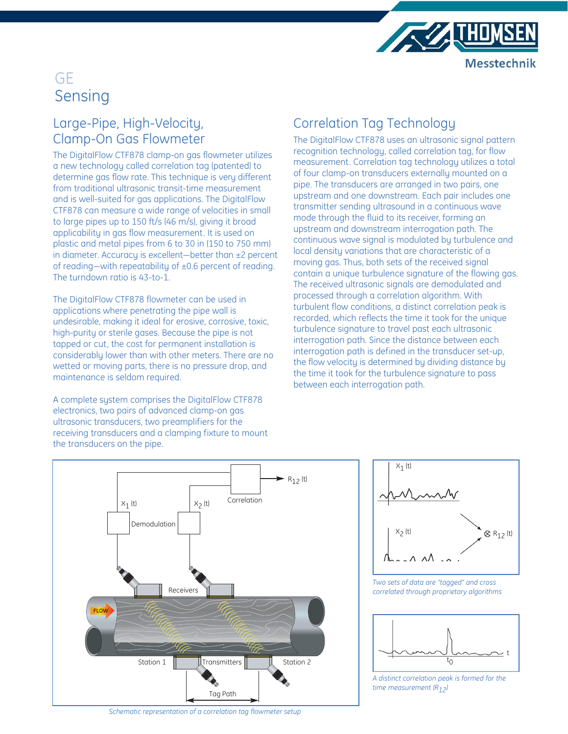

## Large-Pipe, High-Velocity, Clamp-On Gas Flowmeter

The DigitalFlow CTF878 clamp-on gas flowmeter utilizes a new technology called correlation tag (patented) to determine gas flow rate. This technique is very different from traditional ultrasonic transit-time measurement and is well-suited for gas applications. The DigitalFlow CTF878 can measure a wide range of velocities in small to large pipes up to 150 ft/s (46 m/s), giving it broad applicability in gas flow measurement. It is used on plastic and metal pipes from 6 to 30 in (150 to 750 mm) in diameter. Accuracy is excellent—better than ±2 percent of reading—with repeatability of ±0.6 percent of reading. The turndown ratio is 43-to-1.

The DigitalFlow CTF878 flowmeter can be used in applications where penetrating the pipe wall is undesirable, making it ideal for erosive, corrosive, toxic, high-purity or sterile gases. Because the pipe is not tapped or cut, the cost for permanent installation is considerably lower than with other meters. There are no wetted or moving parts, there is no pressure drop, and maintenance is seldom required.

A complete system comprises the DigitalFlow CTF878 electronics, two pairs of advanced clamp-on gas ultrasonic transducers, two preamplifiers for the receiving transducers and a clamping fixture to mount the transducers on the pipe.

## Correlation Tag Technology

The DigitalFlow CTF878 uses an ultrasonic signal pattern recognition technology, called correlation tag, for flow measurement. Correlation tag technology utilizes a total of four clamp-on transducers externally mounted on a pipe. The transducers are arranged in two pairs, one upstream and one downstream. Each pair includes one transmitter sending ultrasound in a continuous wave mode through the fluid to its receiver, forming an upstream and downstream interrogation path. The continuous wave signal is modulated by turbulence and local density variations that are characteristic of a moving gas. Thus, both sets of the received signal contain a unique turbulence signature of the flowing gas. The received ultrasonic signals are demodulated and processed through a correlation algorithm. With turbulent flow conditions, a distinct correlation peak is recorded, which reflects the time it took for the unique turbulence signature to travel past each ultrasonic interrogation path. Since the distance between each interrogation path is defined in the transducer set-up, the flow velocity is determined by dividing distance by the time it took for the turbulence signature to pass between each interrogation path.





*Two sets of data are "tagged" and cross correlated through proprietary algorithms*



*A distinct correlation peak is formed for the time measurement (R12)*

*Schematic representation of a correlation tag flowmeter setup*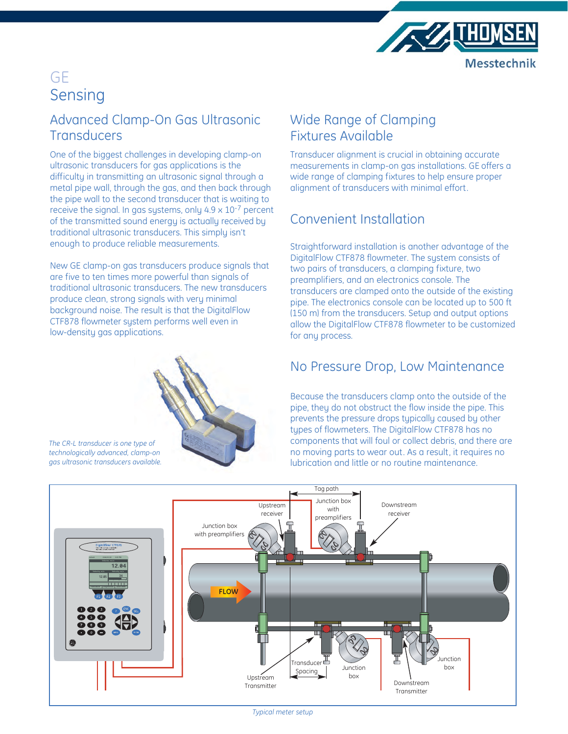

## Advanced Clamp-On Gas Ultrasonic **Transducers**

One of the biggest challenges in developing clamp-on ultrasonic transducers for gas applications is the difficulty in transmitting an ultrasonic signal through a metal pipe wall, through the gas, and then back through the pipe wall to the second transducer that is waiting to receive the signal. In gas systems, only 4.9 x 10-7 percent of the transmitted sound energy is actually received by traditional ultrasonic transducers. This simply isn't enough to produce reliable measurements.

New GE clamp-on gas transducers produce signals that are five to ten times more powerful than signals of traditional ultrasonic transducers. The new transducers produce clean, strong signals with very minimal background noise. The result is that the DigitalFlow CTF878 flowmeter system performs well even in low-density gas applications.



*The CR-L transducer is one type of technologically advanced, clamp-on gas ultrasonic transducers available.*

## Wide Range of Clamping Fixtures Available

Transducer alignment is crucial in obtaining accurate measurements in clamp-on gas installations. GE offers a wide range of clamping fixtures to help ensure proper alignment of transducers with minimal effort.

## Convenient Installation

Straightforward installation is another advantage of the DigitalFlow CTF878 flowmeter. The system consists of two pairs of transducers, a clamping fixture, two preamplifiers, and an electronics console. The transducers are clamped onto the outside of the existing pipe. The electronics console can be located up to 500 ft (150 m) from the transducers. Setup and output options allow the DigitalFlow CTF878 flowmeter to be customized for any process.

## No Pressure Drop, Low Maintenance

Because the transducers clamp onto the outside of the pipe, they do not obstruct the flow inside the pipe. This prevents the pressure drops typically caused by other types of flowmeters. The DigitalFlow CTF878 has no components that will foul or collect debris, and there are no moving parts to wear out. As a result, it requires no lubrication and little or no routine maintenance.

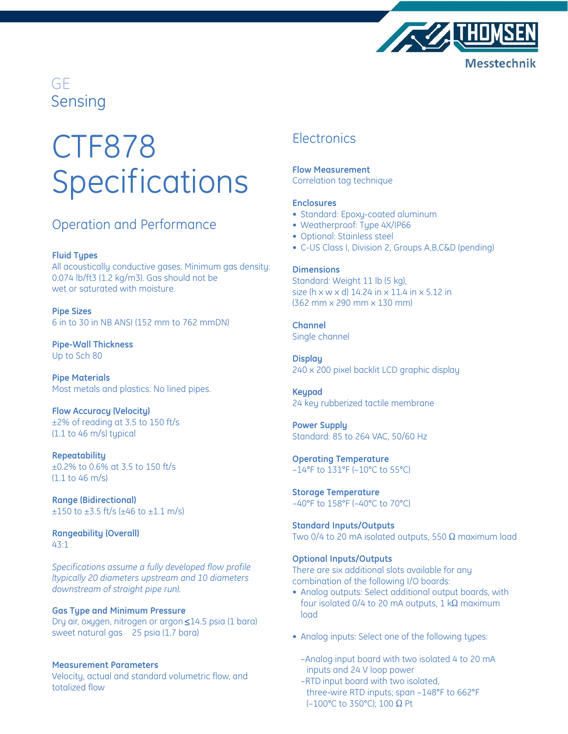

# CTF878 Specifications

## Operation and Performance

#### **Fluid Types**

All acoustically conductive gases. Minimum gas density: 0.074 lb/ft3 (1.2 kg/m3). Gas should not be wet or saturated with moisture.

**Pipe Sizes** 6 in to 30 in NB ANSI (152 mm to 762 mmDN)

**Pipe-Wall Thickness** Up to Sch 80

**Pipe Materials** Most metals and plastics. No lined pipes.

**Flow Accuracy (Velocity)** ±2% of reading at 3.5 to 150 ft/s (1.1 to 46 m/s) typical

**Repeatability** ±0.2% to 0.6% at 3.5 to 150 ft/s (1.1 to 46 m/s)

**Range (Bidirectional)**  $\pm 150$  to  $\pm 3.5$  ft/s ( $\pm 46$  to  $\pm 1.1$  m/s)

**Rangeability (Overall)** 43:1

*Specifications assume a fully developed flow profile (typically 20 diameters upstream and 10 diameters downstream of straight pipe run).*

#### **Gas Type and Minimum Pressure**

Dry air, oxygen, nitrogen or argon≤14.5 psia (1 bara) sweet natural gas 25 psia (1.7 bara)

#### **Measurement Parameters**

Velocity, actual and standard volumetric flow, and totalized flow

### **Electronics**

**Flow Measurement**

Correlation tag technique

#### **Enclosures**

- Standard: Epoxy-coated aluminum
- Weatherproof: Type 4X/IP66
- Optional: Stainless steel
- C-US Class I, Division 2, Groups A,B,C&D (pending)

#### **Dimensions**

Standard: Weight 11 lb (5 kg), size (h x w x d) 14.24 in x 11.4 in x 5.12 in (362 mm x 290 mm x 130 mm)

**Channel** Single channel

**Display** 240 x 200 pixel backlit LCD graphic display

**Keypad** 24 key rubberized tactile membrane

**Power Supply** Standard: 85 to 264 VAC, 50/60 Hz

**Operating Temperature** –14°F to 131°F (–10°C to 55°C)

**Storage Temperature** –40°F to 158°F (–40°C to 70°C)

**Standard Inputs/Outputs** Two 0/4 to 20 mA isolated outputs, 550  $\Omega$  maximum load

#### **Optional Inputs/Outputs**

There are six additional slots available for any combination of the following I/O boards:

- Analog outputs: Select additional output boards, with four isolated  $0/4$  to 20 mA outputs, 1 k $\Omega$  maximum load
- Analog inputs: Select one of the following types:
	- –Analog input board with two isolated 4 to 20 mA inputs and 24 V loop power
	- –RTD input board with two isolated, three-wire RTD inputs; span –148°F to 662°F (-100°C to 350°C); 100  $\Omega$  Pt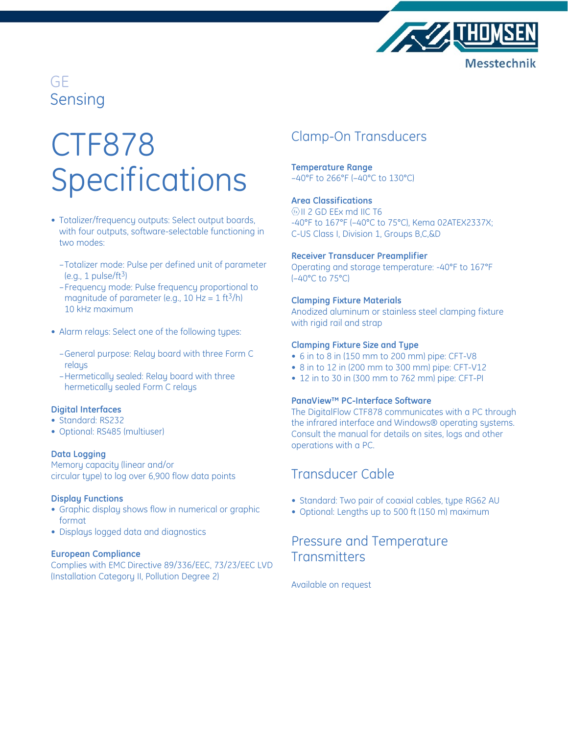

# CTF878 Specifications

- Totalizer/frequency outputs: Select output boards, with four outputs, software-selectable functioning in two modes:
	- –Totalizer mode: Pulse per defined unit of parameter  $(e.g., 1 pulse/ft<sup>3</sup>)$
	- –Frequency mode: Pulse frequency proportional to magnitude of parameter (e.g., 10 Hz =  $1 \text{ ft}^3/\text{h}$ ) 10 kHz maximum
- Alarm relays: Select one of the following types:
	- –General purpose: Relay board with three Form C relays
	- –Hermetically sealed: Relay board with three hermetically sealed Form C relays

#### **Digital Interfaces**

- Standard: RS232
- Optional: RS485 (multiuser)

#### **Data Logging**

Memory capacity (linear and/or circular type) to log over 6,900 flow data points

#### **Display Functions**

- Graphic display shows flow in numerical or graphic format
- Displays logged data and diagnostics

#### **European Compliance**

Complies with EMC Directive 89/336/EEC, 73/23/EEC LVD (Installation Category II, Pollution Degree 2)

## Clamp-On Transducers

**Temperature Range** –40°F to 266°F (–40°C to 130°C)

#### **Area Classifications**

 $\left\langle \mathrm{a} \right\rangle$ II 2 GD EEx md IIC T6 -40°F to 167°F (–40°C to 75°C), Kema 02ATEX2337X; C-US Class I, Division 1, Groups B,C,&D

#### **Receiver Transducer Preamplifier**

Operating and storage temperature: -40°F to 167°F (–40°C to 75°C)

#### **Clamping Fixture Materials**

Anodized aluminum or stainless steel clamping fixture with rigid rail and strap

#### **Clamping Fixture Size and Type**

- 6 in to 8 in (150 mm to 200 mm) pipe: CFT-V8
- 8 in to 12 in (200 mm to 300 mm) pipe: CFT-V12
- 12 in to 30 in (300 mm to 762 mm) pipe: CFT-PI

#### **PanaView™ PC-Interface Software**

The DigitalFlow CTF878 communicates with a PC through the infrared interface and Windows® operating systems. Consult the manual for details on sites, logs and other operations with a PC.

### Transducer Cable

- Standard: Two pair of coaxial cables, type RG62 AU
- Optional: Lengths up to 500 ft (150 m) maximum

## Pressure and Temperature **Transmitters**

Available on request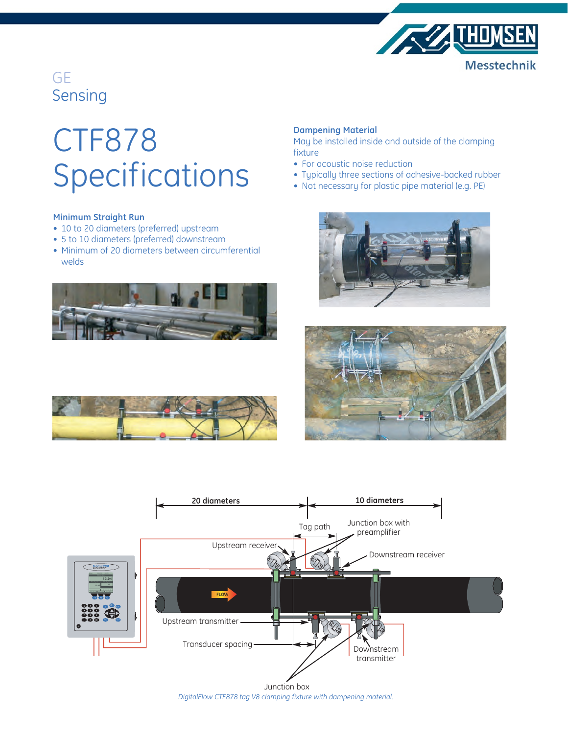

# CTF878 Specifications

### **Minimum Straight Run**

- 10 to 20 diameters (preferred) upstream
- 5 to 10 diameters (preferred) downstream
- Minimum of 20 diameters between circumferential welds



#### **Dampening Material**

May be installed inside and outside of the clamping fixture

- For acoustic noise reduction
- Typically three sections of adhesive-backed rubber
- Not necessary for plastic pipe material (e.g. PE)







Junction box *DigitalFlow CTF878 tag V8 clamping fixture with dampening material.*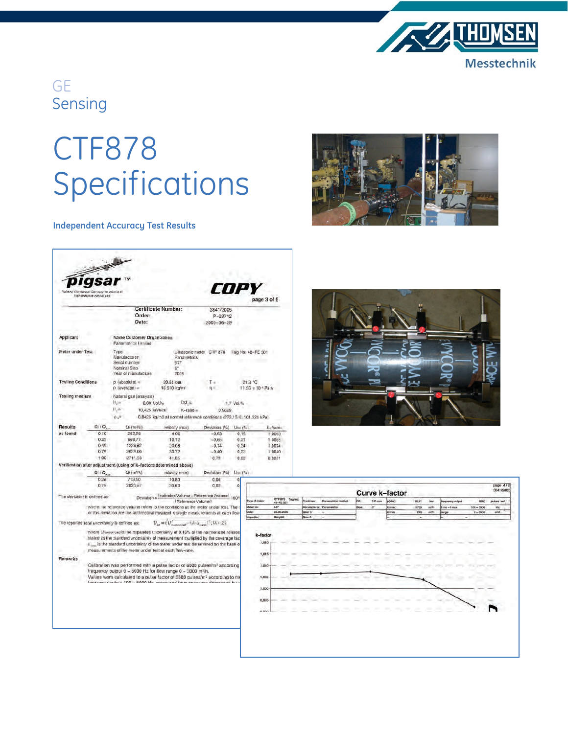

# CTF878 Specifications

### **Independent Accuracy Test Results**



| Valional Standard of Germany to volutional<br>high-pressure natural gas                                                                                                                                                                       |                                                                     |                                                                             |                                                         |                                                                               |                                  | COPY                                                                                                                                                                                                                                                    |                   | page 3 of 5                          |
|-----------------------------------------------------------------------------------------------------------------------------------------------------------------------------------------------------------------------------------------------|---------------------------------------------------------------------|-----------------------------------------------------------------------------|---------------------------------------------------------|-------------------------------------------------------------------------------|----------------------------------|---------------------------------------------------------------------------------------------------------------------------------------------------------------------------------------------------------------------------------------------------------|-------------------|--------------------------------------|
|                                                                                                                                                                                                                                               | Order:<br>Date:                                                     |                                                                             |                                                         | <b>Certificate Number:</b>                                                    |                                  | 3841/2005<br>P-29712<br>$2005 - 06 - 29$                                                                                                                                                                                                                |                   |                                      |
| Applicant                                                                                                                                                                                                                                     |                                                                     | <b>Name Customer Organization</b><br>Panametrics Limited                    |                                                         |                                                                               |                                  |                                                                                                                                                                                                                                                         |                   |                                      |
| Meter under Test                                                                                                                                                                                                                              |                                                                     | Type<br>Manufacturer<br>Senal number<br>Nominal Size<br>Year of manufacture |                                                         |                                                                               | Panametrics<br>517<br>g.<br>2005 | Ultrasonic meter CTF 878                                                                                                                                                                                                                                | Tag No: 48-FE 501 |                                      |
| <b>Testing Conditions</b>                                                                                                                                                                                                                     |                                                                     | $p$ (absolute) =                                                            |                                                         | 20.61 081                                                                     |                                  |                                                                                                                                                                                                                                                         |                   | 21.3 °C                              |
|                                                                                                                                                                                                                                               |                                                                     | $p$ (average) =                                                             |                                                         | 16 510 kg/m                                                                   |                                  |                                                                                                                                                                                                                                                         |                   | 11.55 x 10 + Pa s                    |
| <b>Testing medium</b>                                                                                                                                                                                                                         |                                                                     | Natural gas (analysis)<br>H.<br>$0.00 \text{ Vol.}\%$                       |                                                         |                                                                               | $CO =$                           |                                                                                                                                                                                                                                                         |                   |                                      |
|                                                                                                                                                                                                                                               |                                                                     | H±.<br>10,425 kWh/m                                                         |                                                         | $K$ -ratio =                                                                  |                                  | 0.9629                                                                                                                                                                                                                                                  | 1.7 Vol.%         |                                      |
|                                                                                                                                                                                                                                               |                                                                     | $0.7 -$                                                                     |                                                         |                                                                               |                                  | -0.8426 kg/m3 at normal reference conditions (273,15 K; 101,325 kPa)                                                                                                                                                                                    |                   |                                      |
| O(10)<br><b>Results</b>                                                                                                                                                                                                                       |                                                                     |                                                                             | Qi (mi Vii)                                             | velocity (m/s)                                                                |                                  | Deviation (*w)<br>Une (%)                                                                                                                                                                                                                               |                   | k-factor                             |
| as found                                                                                                                                                                                                                                      | 0.10                                                                | 263,96                                                                      |                                                         | 4.00                                                                          |                                  | $-0.63$                                                                                                                                                                                                                                                 | 0.19<br>1,0063    |                                      |
|                                                                                                                                                                                                                                               | 0.25                                                                | 668.77                                                                      |                                                         | 10.12                                                                         |                                  | $-0.66$                                                                                                                                                                                                                                                 | 0.21              | 1,0065                               |
|                                                                                                                                                                                                                                               | 0.49                                                                | 1326.62                                                                     |                                                         | 20.08                                                                         |                                  | $-0.74$                                                                                                                                                                                                                                                 | 0.24              | 1,0074                               |
| 0.75<br>1.00                                                                                                                                                                                                                                  |                                                                     | 2029.00                                                                     |                                                         | 30.72                                                                         |                                  | $-0.40$                                                                                                                                                                                                                                                 | 0.22              | 1,0040                               |
|                                                                                                                                                                                                                                               |                                                                     | 2711.56                                                                     |                                                         | 41.05                                                                         |                                  | 0.79                                                                                                                                                                                                                                                    | 0.22              | 0.9951                               |
|                                                                                                                                                                                                                                               | Verification after adjustment (using of k-factors determined above) |                                                                             |                                                         |                                                                               |                                  |                                                                                                                                                                                                                                                         |                   |                                      |
|                                                                                                                                                                                                                                               | $Q_1$ $Q_2$                                                         |                                                                             | Qi (m <sup>y</sup> h)                                   |                                                                               | volocity (m/s)                   | Deviation (%)                                                                                                                                                                                                                                           | $UnorI$ %)        |                                      |
|                                                                                                                                                                                                                                               | 0.26<br>0.75                                                        |                                                                             | 713,50<br>2023.57                                       |                                                                               | 10.80                            | 0.06                                                                                                                                                                                                                                                    | o                 |                                      |
|                                                                                                                                                                                                                                               |                                                                     |                                                                             |                                                         |                                                                               | 30.63                            | 0.02                                                                                                                                                                                                                                                    | o.                |                                      |
| The deviation is defined as:                                                                                                                                                                                                                  |                                                                     |                                                                             |                                                         | Deviation= Undicated Volume - Reference Volume)<br>1001<br>(Reference Volume) |                                  |                                                                                                                                                                                                                                                         |                   | CTF 87<br>Type of meter              |
|                                                                                                                                                                                                                                               |                                                                     |                                                                             |                                                         |                                                                               |                                  | where the reference volume refers to the conditions at the meter under tost. The<br>of this deviation are the arithmetical meansof n single measurements at each flow                                                                                   |                   | 48-FE<br>Mater no:<br>517<br>29.06.2 |
|                                                                                                                                                                                                                                               | The reported total uncertainty is defined as:                       |                                                                             |                                                         |                                                                               |                                  | $U_{\rm tot}\!=\!\sqrt{U_{\rm transcept}^2\!-\!(k\!\cdot\! \!U_{\rm core})^2}/(k\!+\!2)$                                                                                                                                                                |                   | Görgülü<br>neidear                   |
|                                                                                                                                                                                                                                               |                                                                     |                                                                             | measurements of the meter under test at each flow-rate. |                                                                               |                                  | where U/www/ceris the expanded uncertainty of 0.16% of the harmonized referent<br>stated as the startdard uncertainty of measurement multiplied by the coverage fact<br>u is the standard uncertainty of the meter under test determined on the base of |                   | k-factor<br>1,020                    |
| Remarks                                                                                                                                                                                                                                       |                                                                     |                                                                             |                                                         |                                                                               |                                  |                                                                                                                                                                                                                                                         |                   | 1,015                                |
| Calibration was performed with a pulse factor of 6000 pulses/m <sup>3</sup> according<br>frequency output 0 - 5000 Hz for flow range 0 - 3000 m-/h.<br>Values were calculated to a pulse factor of 5880 pulses/m <sup>3</sup> according to me |                                                                     |                                                                             |                                                         |                                                                               |                                  |                                                                                                                                                                                                                                                         |                   | 1,010                                |
|                                                                                                                                                                                                                                               |                                                                     |                                                                             |                                                         |                                                                               |                                  |                                                                                                                                                                                                                                                         |                   |                                      |
|                                                                                                                                                                                                                                               |                                                                     |                                                                             |                                                         |                                                                               |                                  | from once mitroid 100 - 5000 Hz, mangurad from ancy was decreased be-                                                                                                                                                                                   |                   | 1,005                                |
|                                                                                                                                                                                                                                               |                                                                     |                                                                             |                                                         |                                                                               |                                  |                                                                                                                                                                                                                                                         |                   | 1,000                                |
|                                                                                                                                                                                                                                               |                                                                     |                                                                             |                                                         |                                                                               |                                  |                                                                                                                                                                                                                                                         |                   |                                      |
|                                                                                                                                                                                                                                               |                                                                     |                                                                             |                                                         |                                                                               |                                  |                                                                                                                                                                                                                                                         |                   |                                      |
|                                                                                                                                                                                                                                               |                                                                     |                                                                             |                                                         |                                                                               |                                  |                                                                                                                                                                                                                                                         |                   | 0,995                                |